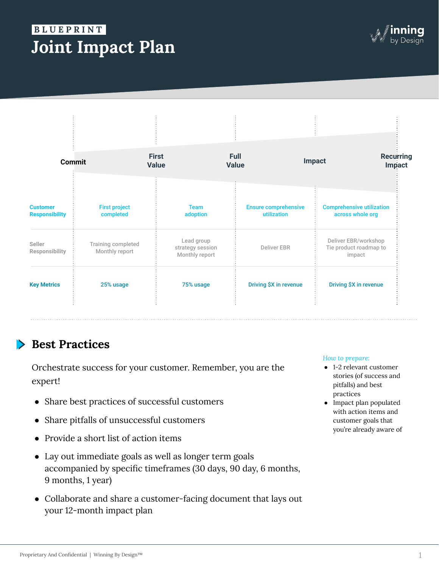# **Joint Impact Plan B L U E P R I N T .**



| <b>Commit</b>                            |                                      | <b>First</b><br><b>Value</b>                     | <b>Full</b><br><b>Value</b> | Impact                                     | <b>Recurring</b><br>Impact                               |
|------------------------------------------|--------------------------------------|--------------------------------------------------|-----------------------------|--------------------------------------------|----------------------------------------------------------|
| <b>Customer</b><br><b>Responsibility</b> | <b>First project</b><br>completed    | <b>Team</b><br>adoption                          |                             | <b>Ensure comprehensive</b><br>utilization | <b>Comprehensive utilization</b><br>across whole org     |
| Seller<br><b>Responsibility</b>          | Training completed<br>Monthly report | Lead group<br>strategy session<br>Monthly report |                             | <b>Deliver EBR</b>                         | Deliver EBR/workshop<br>Tie product roadmap to<br>impact |
| <b>Key Metrics</b>                       | 25% usage                            | 75% usage                                        |                             | Driving \$X in revenue                     | Driving \$X in revenue                                   |

## **Best Practices**

Orchestrate success for your customer. Remember, you are the expert!

- Share best practices of successful customers
- Share pitfalls of unsuccessful customers
- Provide a short list of action items
- Lay out immediate goals as well as longer term goals accompanied by specific timeframes (30 days, 90 day, 6 months, 9 months, 1 year)
- Collaborate and share a customer-facing document that lays out your 12-month impact plan

### *How to prepare:*

- 1-2 relevant customer stories (of success and pitfalls) and best practices
- Impact plan populated with action items and customer goals that you're already aware of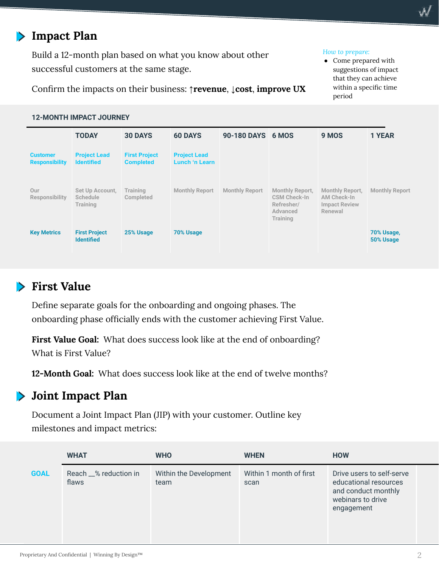## **Impact Plan**

Build a 12-month plan based on what you know about other successful customers at the same stage.

### *How to prepare:*

● Come prepared with suggestions of impact that they can achieve within a specific time period

Confirm the impacts on their business: **↑revenue**, **↓cost**, **improve UX**

### **12-MONTH IMPACT JOURNEY**

|                                          | <b>TODAY</b>                                   | <b>30 DAYS</b>                           | <b>60 DAYS</b>                        | 90-180 DAYS 6 MOS     |                                                                              | 9 MOS                                                                    | <b>1 YEAR</b>           |
|------------------------------------------|------------------------------------------------|------------------------------------------|---------------------------------------|-----------------------|------------------------------------------------------------------------------|--------------------------------------------------------------------------|-------------------------|
| <b>Customer</b><br><b>Responsibility</b> | <b>Project Lead</b><br><b>Identified</b>       | <b>First Project</b><br><b>Completed</b> | <b>Project Lead</b><br>Lunch 'n Learn |                       |                                                                              |                                                                          |                         |
| Our<br><b>Responsibility</b>             | Set Up Account,<br><b>Schedule</b><br>Training | Training<br>Completed                    | <b>Monthly Report</b>                 | <b>Monthly Report</b> | Monthly Report,<br><b>CSM Check-In</b><br>Refresher/<br>Advanced<br>Training | <b>Monthly Report,</b><br>AM Check-In<br><b>Impact Review</b><br>Renewal | <b>Monthly Report</b>   |
| <b>Key Metrics</b>                       | <b>First Project</b><br><b>Identified</b>      | 25% Usage                                | <b>70% Usage</b>                      |                       |                                                                              |                                                                          | 70% Usage,<br>50% Usage |

## **First Value**

Define separate goals for the onboarding and ongoing phases. The onboarding phase officially ends with the customer achieving First Value.

First Value Goal: What does success look like at the end of onboarding? What is First Value?

**12-Month Goal:** What does success look like at the end of twelve months?

#### **Joint Impact Plan**  $\blacktriangleright$

Document a Joint Impact Plan (JIP) with your customer. Outline key milestones and impact metrics:

|             | <b>WHAT</b>                    | <b>WHO</b>                     | <b>WHEN</b>                     | <b>HOW</b>                                                                                                   |
|-------------|--------------------------------|--------------------------------|---------------------------------|--------------------------------------------------------------------------------------------------------------|
| <b>GOAL</b> | Reach _% reduction in<br>flaws | Within the Development<br>team | Within 1 month of first<br>scan | Drive users to self-serve<br>educational resources<br>and conduct monthly<br>webinars to drive<br>engagement |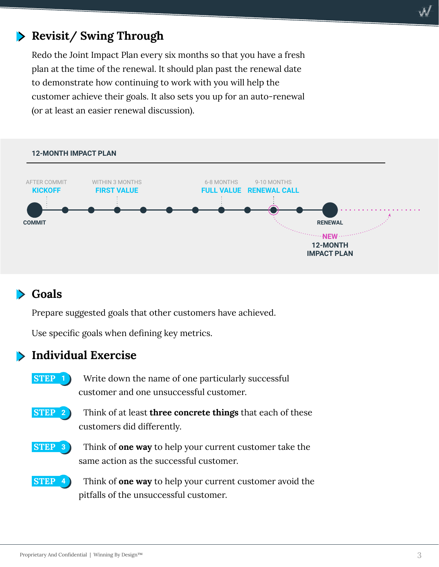## **Revisit/ Swing Through**

Redo the Joint Impact Plan every six months so that you have a fresh plan at the time of the renewal. It should plan past the renewal date to demonstrate how continuing to work with you will help the customer achieve their goals. It also sets you up for an auto-renewal (or at least an easier renewal discussion).

**12-MONTH IMPACT PLAN COMMIT RENEWAL KICKOFF** AFTER COMMIT **FIRST VALUE** WITHIN 3 MONTHS **FULL VALUE RENEWAL CALL** 6-8 MONTHS 9-10 MONTHS **NEW** (*see Section*) **12-MONTH IMPACT PLAN**

## **Goals**

Prepare suggested goals that other customers have achieved.

Use specific goals when defining key metrics.

### **Individual Exercise**



Write down the name of one particularly successful customer and one unsuccessful customer.



Think of at least **three concrete things** that each of these customers did differently.



Think of **one way** to help your current customer take the same action as the successful customer.



Think of **one way** to help your current customer avoid the pitfalls of the unsuccessful customer.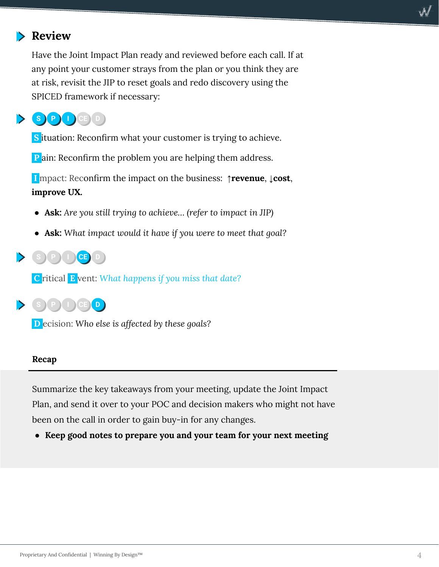

Have the Joint Impact Plan ready and reviewed before each call. If at any point your customer strays from the plan or you think they are at risk, revisit the JIP to reset goals and redo discovery using the SPICED framework if necessary:



**S** ituation: Reconfirm what your customer is trying to achieve.

**P** ain: Reconfirm the problem you are helping them address.

 **I** mpact: Reconfirm the impact on the business: **↑revenue**, **↓cost**, **improve UX.**

- **Ask:** *Are you still trying to achieve… (refer to impact in JIP)*
- **Ask:** *What impact would it have if you were to meet that goal?*



 **C** ritical **E** vent: *What happens if you miss that date?*



 **D** ecision: *Who else is affected by these goals?*

### **Recap**

Summarize the key takeaways from your meeting, update the Joint Impact Plan, and send it over to your POC and decision makers who might not have been on the call in order to gain buy-in for any changes.

**● Keep good notes to prepare you and your team for your next meeting**